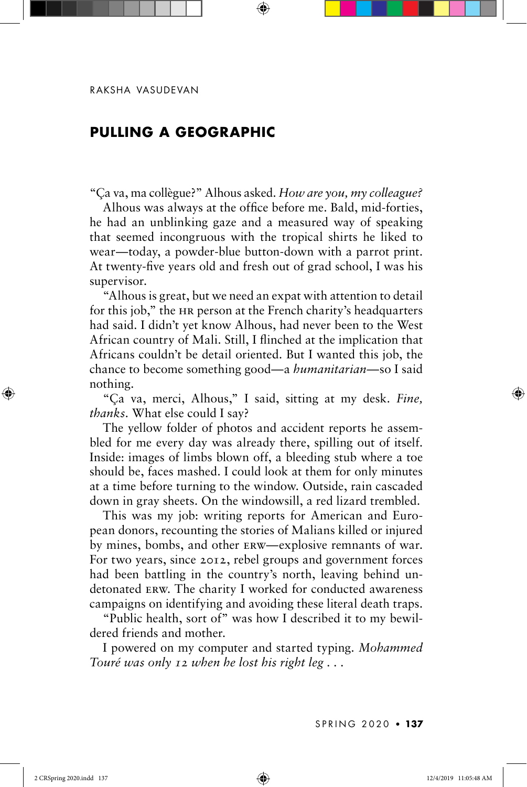raksha vasudevan

# **PULLING A GEOGRAPHIC**

"Ça va, ma collègue?" Alhous asked. *How are you, my colleague?*

⊕

Alhous was always at the office before me. Bald, mid-forties, he had an unblinking gaze and a measured way of speaking that seemed incongruous with the tropical shirts he liked to wear—today, a powder-blue button-down with a parrot print. At twenty-five years old and fresh out of grad school, I was his supervisor.

"Alhous is great, but we need an expat with attention to detail for this job," the hr person at the French charity's headquarters had said. I didn't yet know Alhous, had never been to the West African country of Mali. Still, I flinched at the implication that Africans couldn't be detail oriented. But I wanted this job, the chance to become something good—a *humanitarian*—so I said nothing.

"Ça va, merci, Alhous," I said, sitting at my desk. *Fine, thanks.* What else could I say?

The yellow folder of photos and accident reports he assembled for me every day was already there, spilling out of itself. Inside: images of limbs blown off, a bleeding stub where a toe should be, faces mashed. I could look at them for only minutes at a time before turning to the window. Outside, rain cascaded down in gray sheets. On the windowsill, a red lizard trembled.

This was my job: writing reports for American and European donors, recounting the stories of Malians killed or injured by mines, bombs, and other erw—explosive remnants of war. For two years, since 2012, rebel groups and government forces had been battling in the country's north, leaving behind undetonated erw. The charity I worked for conducted awareness campaigns on identifying and avoiding these literal death traps.

"Public health, sort of" was how I described it to my bewildered friends and mother.

I powered on my computer and started typing. *Mohammed Touré was only 12 when he lost his right leg . . .*

⊕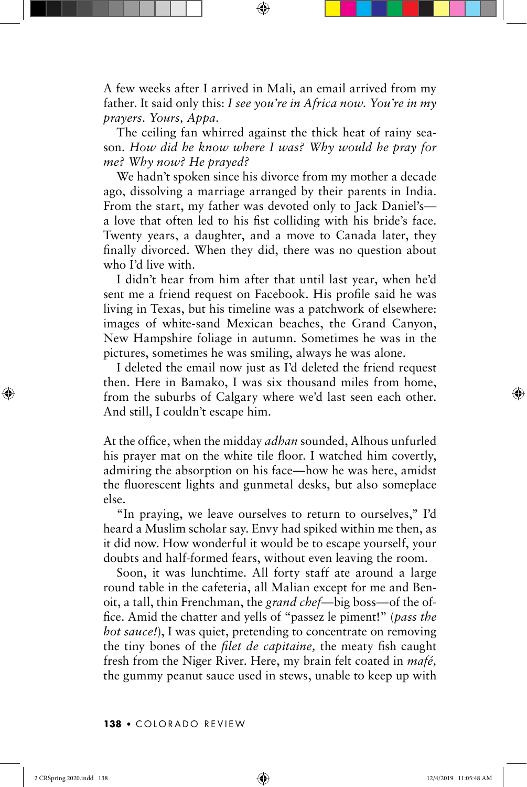A few weeks after I arrived in Mali, an email arrived from my father. It said only this: *I see you're in Africa now. You're in my prayers. Yours, Appa.*

⊕

The ceiling fan whirred against the thick heat of rainy season. *How did he know where I was? Why would he pray for me? Why now? He prayed?*

We hadn't spoken since his divorce from my mother a decade ago, dissolving a marriage arranged by their parents in India. From the start, my father was devoted only to Jack Daniel's a love that often led to his fist colliding with his bride's face. Twenty years, a daughter, and a move to Canada later, they finally divorced. When they did, there was no question about who I'd live with.

I didn't hear from him after that until last year, when he'd sent me a friend request on Facebook. His profile said he was living in Texas, but his timeline was a patchwork of elsewhere: images of white-sand Mexican beaches, the Grand Canyon, New Hampshire foliage in autumn. Sometimes he was in the pictures, sometimes he was smiling, always he was alone.

I deleted the email now just as I'd deleted the friend request then. Here in Bamako, I was six thousand miles from home, from the suburbs of Calgary where we'd last seen each other. And still, I couldn't escape him.

At the office, when the midday *adhan* sounded, Alhous unfurled his prayer mat on the white tile floor. I watched him covertly, admiring the absorption on his face—how he was here, amidst the fluorescent lights and gunmetal desks, but also someplace else.

"In praying, we leave ourselves to return to ourselves," I'd heard a Muslim scholar say. Envy had spiked within me then, as it did now. How wonderful it would be to escape yourself, your doubts and half-formed fears, without even leaving the room.

Soon, it was lunchtime. All forty staff ate around a large round table in the cafeteria, all Malian except for me and Benoit, a tall, thin Frenchman, the *grand chef*—big boss—of the office. Amid the chatter and yells of "passez le piment!" (*pass the hot sauce!*), I was quiet, pretending to concentrate on removing the tiny bones of the *filet de capitaine,* the meaty fish caught fresh from the Niger River. Here, my brain felt coated in *mafé,*  the gummy peanut sauce used in stews, unable to keep up with

## **138** •COLORADO REVIEW

↔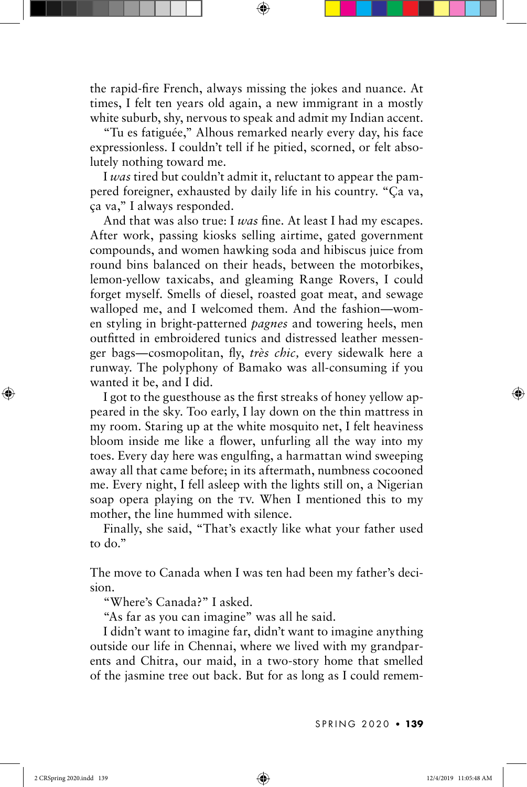the rapid-fire French, always missing the jokes and nuance. At times, I felt ten years old again, a new immigrant in a mostly white suburb, shy, nervous to speak and admit my Indian accent.

"Tu es fatiguée," Alhous remarked nearly every day, his face expressionless. I couldn't tell if he pitied, scorned, or felt absolutely nothing toward me.

I *was* tired but couldn't admit it, reluctant to appear the pampered foreigner, exhausted by daily life in his country. "Ça va, ça va," I always responded.

And that was also true: I *was* fine. At least I had my escapes. After work, passing kiosks selling airtime, gated government compounds, and women hawking soda and hibiscus juice from round bins balanced on their heads, between the motorbikes, lemon-yellow taxicabs, and gleaming Range Rovers, I could forget myself. Smells of diesel, roasted goat meat, and sewage walloped me, and I welcomed them. And the fashion—women styling in bright-patterned *pagnes* and towering heels, men outfitted in embroidered tunics and distressed leather messenger bags—cosmopolitan, fly, *très chic,* every sidewalk here a runway. The polyphony of Bamako was all-consuming if you wanted it be, and I did.

I got to the guesthouse as the first streaks of honey yellow appeared in the sky. Too early, I lay down on the thin mattress in my room. Staring up at the white mosquito net, I felt heaviness bloom inside me like a flower, unfurling all the way into my toes. Every day here was engulfing, a harmattan wind sweeping away all that came before; in its aftermath, numbness cocooned me. Every night, I fell asleep with the lights still on, a Nigerian soap opera playing on the tv. When I mentioned this to my mother, the line hummed with silence.

Finally, she said, "That's exactly like what your father used to do."

The move to Canada when I was ten had been my father's decision.

"Where's Canada?" I asked.

"As far as you can imagine" was all he said.

I didn't want to imagine far, didn't want to imagine anything outside our life in Chennai, where we lived with my grandparents and Chitra, our maid, in a two-story home that smelled of the jasmine tree out back. But for as long as I could remem-

2 CRSpring 2020.indd 139 12/4/2019 11:05:48 AM

⊕

↔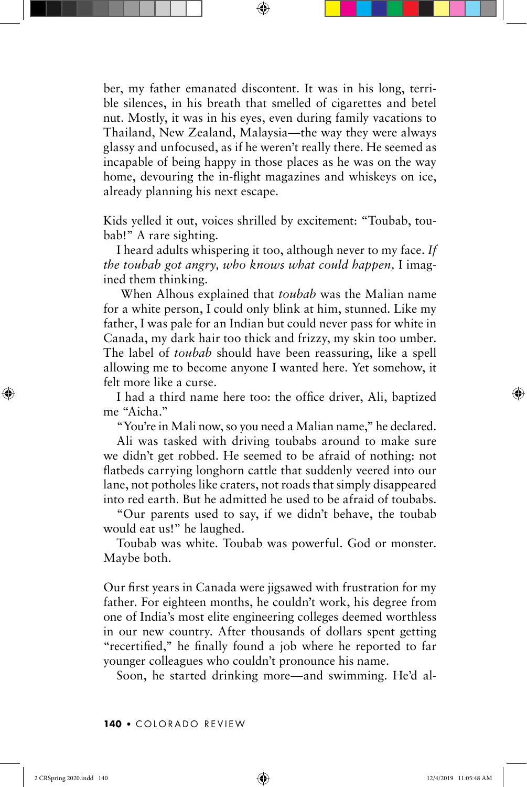ber, my father emanated discontent. It was in his long, terrible silences, in his breath that smelled of cigarettes and betel nut. Mostly, it was in his eyes, even during family vacations to Thailand, New Zealand, Malaysia—the way they were always glassy and unfocused, as if he weren't really there. He seemed as incapable of being happy in those places as he was on the way home, devouring the in-flight magazines and whiskeys on ice, already planning his next escape.

⊕

Kids yelled it out, voices shrilled by excitement: "Toubab, toubab!" A rare sighting.

I heard adults whispering it too, although never to my face. *If the toubab got angry, who knows what could happen,* I imagined them thinking.

 When Alhous explained that *toubab* was the Malian name for a white person, I could only blink at him, stunned. Like my father, I was pale for an Indian but could never pass for white in Canada, my dark hair too thick and frizzy, my skin too umber. The label of *toubab* should have been reassuring, like a spell allowing me to become anyone I wanted here. Yet somehow, it felt more like a curse.

I had a third name here too: the office driver, Ali, baptized me "Aicha."

"You're in Mali now, so you need a Malian name," he declared.

Ali was tasked with driving toubabs around to make sure we didn't get robbed. He seemed to be afraid of nothing: not flatbeds carrying longhorn cattle that suddenly veered into our lane, not potholes like craters, not roads that simply disappeared into red earth. But he admitted he used to be afraid of toubabs.

"Our parents used to say, if we didn't behave, the toubab would eat us!" he laughed.

Toubab was white. Toubab was powerful. God or monster. Maybe both.

Our first years in Canada were jigsawed with frustration for my father. For eighteen months, he couldn't work, his degree from one of India's most elite engineering colleges deemed worthless in our new country. After thousands of dollars spent getting "recertified," he finally found a job where he reported to far younger colleagues who couldn't pronounce his name.

Soon, he started drinking more—and swimming. He'd al-

#### **140** •COLORADO REVIEW

⊕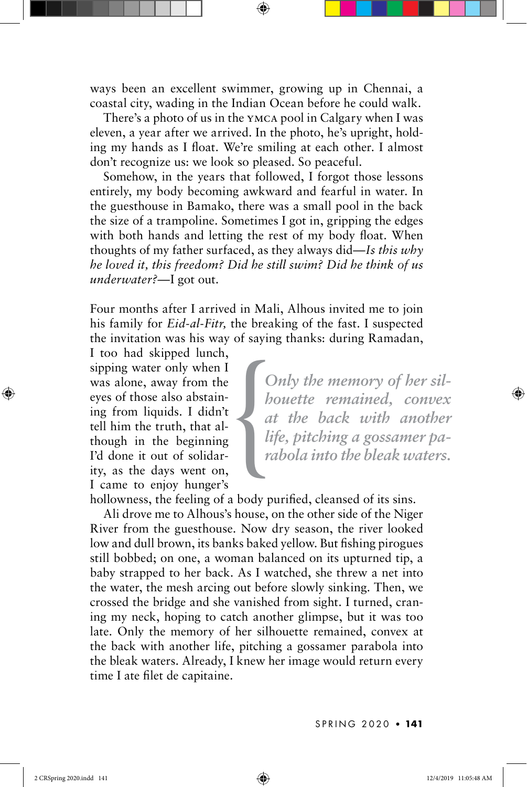ways been an excellent swimmer, growing up in Chennai, a coastal city, wading in the Indian Ocean before he could walk.

⊕

There's a photo of us in the ymca pool in Calgary when I was eleven, a year after we arrived. In the photo, he's upright, holding my hands as I float. We're smiling at each other. I almost don't recognize us: we look so pleased. So peaceful.

Somehow, in the years that followed, I forgot those lessons entirely, my body becoming awkward and fearful in water. In the guesthouse in Bamako, there was a small pool in the back the size of a trampoline. Sometimes I got in, gripping the edges with both hands and letting the rest of my body float. When thoughts of my father surfaced, as they always did—*Is this why he loved it, this freedom? Did he still swim? Did he think of us underwater?*—I got out.

Four months after I arrived in Mali, Alhous invited me to join his family for *Eid-al-Fitr,* the breaking of the fast. I suspected the invitation was his way of saying thanks: during Ramadan,

I too had skipped lunch, sipping water only when I was alone, away from the eyes of those also abstaining from liquids. I didn't tell him the truth, that although in the beginning I'd done it out of solidarity, as the days went on, I came to enjoy hunger's

*Only the memory of her silhouette remained, convex at the back with another liferally the memory of her sil-<br>bouette remained, convex***<br>***at the back with another***<br>***life, pitching a gossamer pa-***<br>***rabola into the bleak waters.* 

hollowness, the feeling of a body purified, cleansed of its sins.

Ali drove me to Alhous's house, on the other side of the Niger River from the guesthouse. Now dry season, the river looked low and dull brown, its banks baked yellow. But fishing pirogues still bobbed; on one, a woman balanced on its upturned tip, a baby strapped to her back. As I watched, she threw a net into the water, the mesh arcing out before slowly sinking. Then, we crossed the bridge and she vanished from sight. I turned, craning my neck, hoping to catch another glimpse, but it was too late. Only the memory of her silhouette remained, convex at the back with another life, pitching a gossamer parabola into the bleak waters. Already, I knew her image would return every time I ate filet de capitaine.

↔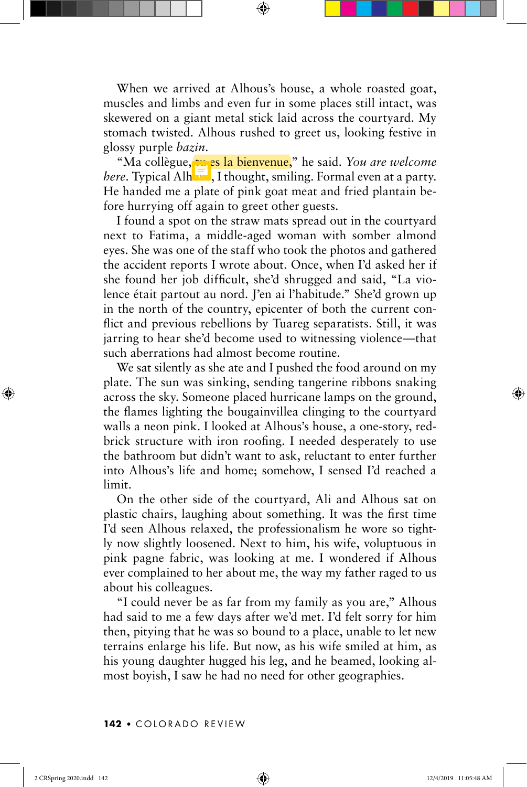When we arrived at Alhous's house, a whole roasted goat, muscles and limbs and even fur in some places still intact, was skewered on a giant metal stick laid across the courtyard. My stomach twisted. Alhous rushed to greet us, looking festive in glossy purple *bazin.* 

"Ma collègue, tu es la bienvenue," he said. *You are welcome here.* Typical Alhous, I thought, smiling. Formal even at a party. He handed me a plate of pink goat meat and fried plantain before hurrying off again to greet other guests.

I found a spot on the straw mats spread out in the courtyard next to Fatima, a middle-aged woman with somber almond eyes. She was one of the staff who took the photos and gathered the accident reports I wrote about. Once, when I'd asked her if she found her job difficult, she'd shrugged and said, "La violence était partout au nord. J'en ai l'habitude." She'd grown up in the north of the country, epicenter of both the current conflict and previous rebellions by Tuareg separatists. Still, it was jarring to hear she'd become used to witnessing violence—that such aberrations had almost become routine.

We sat silently as she ate and I pushed the food around on my plate. The sun was sinking, sending tangerine ribbons snaking across the sky. Someone placed hurricane lamps on the ground, the flames lighting the bougainvillea clinging to the courtyard walls a neon pink. I looked at Alhous's house, a one-story, redbrick structure with iron roofing. I needed desperately to use the bathroom but didn't want to ask, reluctant to enter further into Alhous's life and home; somehow, I sensed I'd reached a limit.

On the other side of the courtyard, Ali and Alhous sat on plastic chairs, laughing about something. It was the first time I'd seen Alhous relaxed, the professionalism he wore so tightly now slightly loosened. Next to him, his wife, voluptuous in pink pagne fabric, was looking at me. I wondered if Alhous ever complained to her about me, the way my father raged to us about his colleagues.

"I could never be as far from my family as you are," Alhous had said to me a few days after we'd met. I'd felt sorry for him then, pitying that he was so bound to a place, unable to let new terrains enlarge his life. But now, as his wife smiled at him, as his young daughter hugged his leg, and he beamed, looking almost boyish, I saw he had no need for other geographies.

## **142** •COLORADO REVIEW

⊕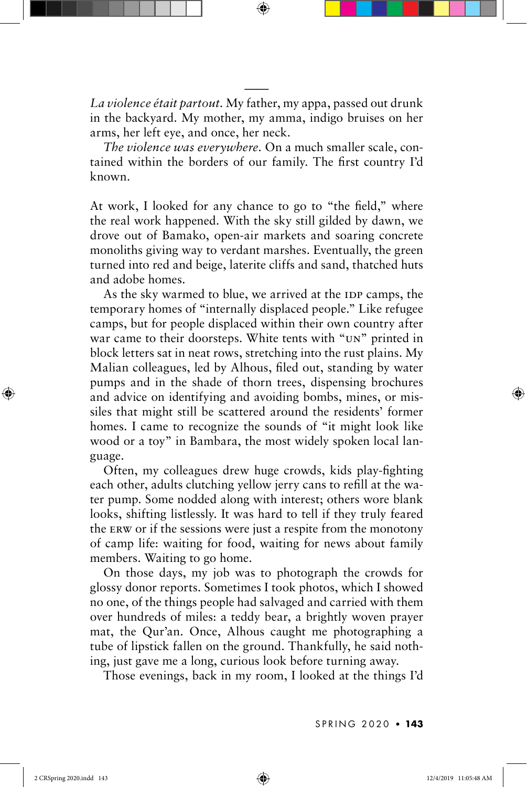*La violence était partout.* My father, my appa, passed out drunk in the backyard. My mother, my amma, indigo bruises on her arms, her left eye, and once, her neck.

——

⊕

*The violence was everywhere.* On a much smaller scale, contained within the borders of our family. The first country I'd known.

At work, I looked for any chance to go to "the field," where the real work happened. With the sky still gilded by dawn, we drove out of Bamako, open-air markets and soaring concrete monoliths giving way to verdant marshes. Eventually, the green turned into red and beige, laterite cliffs and sand, thatched huts and adobe homes.

As the sky warmed to blue, we arrived at the IDP camps, the temporary homes of "internally displaced people." Like refugee camps, but for people displaced within their own country after war came to their doorsteps. White tents with "UN" printed in block letters sat in neat rows, stretching into the rust plains. My Malian colleagues, led by Alhous, filed out, standing by water pumps and in the shade of thorn trees, dispensing brochures and advice on identifying and avoiding bombs, mines, or missiles that might still be scattered around the residents' former homes. I came to recognize the sounds of "it might look like wood or a toy" in Bambara, the most widely spoken local language.

Often, my colleagues drew huge crowds, kids play-fighting each other, adults clutching yellow jerry cans to refill at the water pump. Some nodded along with interest; others wore blank looks, shifting listlessly. It was hard to tell if they truly feared the erw or if the sessions were just a respite from the monotony of camp life: waiting for food, waiting for news about family members. Waiting to go home.

On those days, my job was to photograph the crowds for glossy donor reports. Sometimes I took photos, which I showed no one, of the things people had salvaged and carried with them over hundreds of miles: a teddy bear, a brightly woven prayer mat, the Qur'an. Once, Alhous caught me photographing a tube of lipstick fallen on the ground. Thankfully, he said nothing, just gave me a long, curious look before turning away.

Those evenings, back in my room, I looked at the things I'd

⊕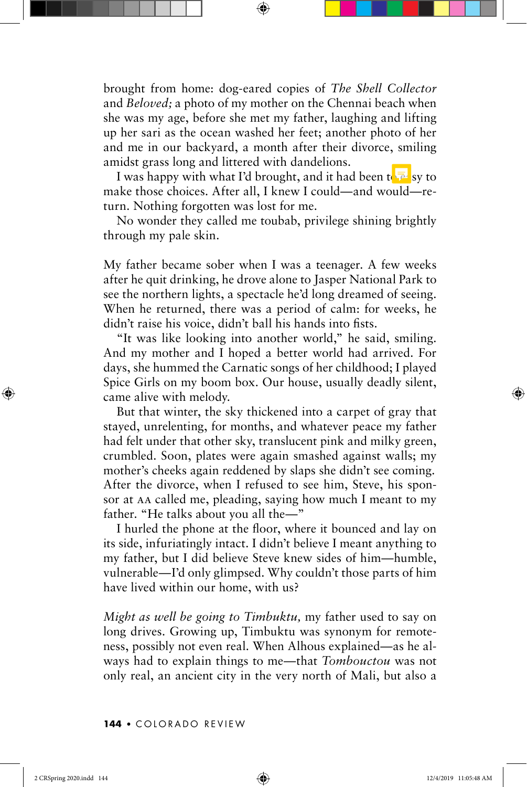brought from home: dog-eared copies of *The Shell Collector*  and *Beloved;* a photo of my mother on the Chennai beach when she was my age, before she met my father, laughing and lifting up her sari as the ocean washed her feet; another photo of her and me in our backyard, a month after their divorce, smiling amidst grass long and littered with dandelions.

⊕

I was happy with what I'd brought, and it had been to  $\mathbb{R}$  sy to make those choices. After all, I knew I could—and would—return. Nothing forgotten was lost for me.

No wonder they called me toubab, privilege shining brightly through my pale skin.

My father became sober when I was a teenager. A few weeks after he quit drinking, he drove alone to Jasper National Park to see the northern lights, a spectacle he'd long dreamed of seeing. When he returned, there was a period of calm: for weeks, he didn't raise his voice, didn't ball his hands into fists.

"It was like looking into another world," he said, smiling. And my mother and I hoped a better world had arrived. For days, she hummed the Carnatic songs of her childhood; I played Spice Girls on my boom box. Our house, usually deadly silent, came alive with melody.

But that winter, the sky thickened into a carpet of gray that stayed, unrelenting, for months, and whatever peace my father had felt under that other sky, translucent pink and milky green, crumbled. Soon, plates were again smashed against walls; my mother's cheeks again reddened by slaps she didn't see coming. After the divorce, when I refused to see him, Steve, his sponsor at AA called me, pleading, saying how much I meant to my father. "He talks about you all the—"

I hurled the phone at the floor, where it bounced and lay on its side, infuriatingly intact. I didn't believe I meant anything to my father, but I did believe Steve knew sides of him—humble, vulnerable—I'd only glimpsed. Why couldn't those parts of him have lived within our home, with us?

*Might as well be going to Timbuktu,* my father used to say on long drives. Growing up, Timbuktu was synonym for remoteness, possibly not even real. When Alhous explained—as he always had to explain things to me—that *Tombouctou* was not only real, an ancient city in the very north of Mali, but also a

## **144** •COLORADO REVIEW

⊕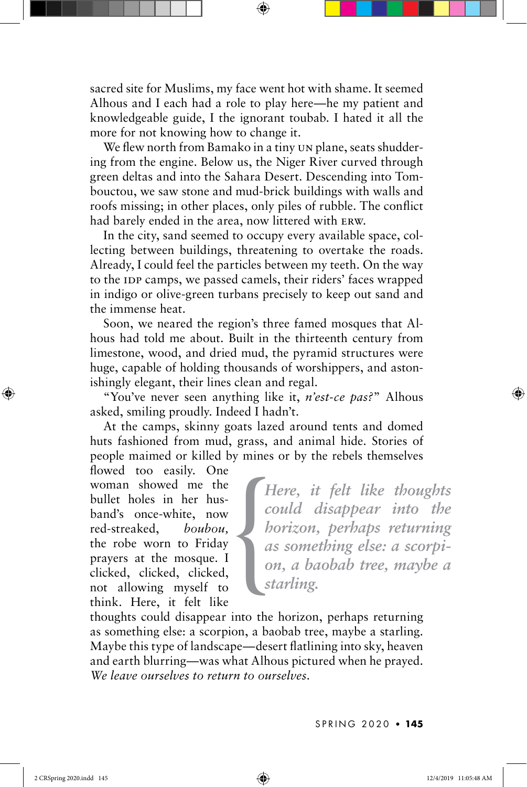sacred site for Muslims, my face went hot with shame. It seemed Alhous and I each had a role to play here—he my patient and knowledgeable guide, I the ignorant toubab. I hated it all the more for not knowing how to change it.

We flew north from Bamako in a tiny un plane, seats shuddering from the engine. Below us, the Niger River curved through green deltas and into the Sahara Desert. Descending into Tombouctou, we saw stone and mud-brick buildings with walls and roofs missing; in other places, only piles of rubble. The conflict had barely ended in the area, now littered with erw.

In the city, sand seemed to occupy every available space, collecting between buildings, threatening to overtake the roads. Already, I could feel the particles between my teeth. On the way to the IDP camps, we passed camels, their riders' faces wrapped in indigo or olive-green turbans precisely to keep out sand and the immense heat.

Soon, we neared the region's three famed mosques that Alhous had told me about. Built in the thirteenth century from limestone, wood, and dried mud, the pyramid structures were huge, capable of holding thousands of worshippers, and astonishingly elegant, their lines clean and regal.

"You've never seen anything like it, *n'est-ce pas?*" Alhous asked, smiling proudly. Indeed I hadn't.

At the camps, skinny goats lazed around tents and domed huts fashioned from mud, grass, and animal hide. Stories of people maimed or killed by mines or by the rebels themselves

flowed too easily. One woman showed me the bullet holes in her husband's once-white, now red-streaked, *boubou,* the robe worn to Friday prayers at the mosque. I clicked, clicked, clicked, not allowing myself to think. Here, it felt like

*Here, it felt like thoughts could disappear into the horizon, perhaps returning as something else: a scorpionda disappear into the*<br>*could disappear into the*<br>*horizon, perhaps returning*<br>*as something else: a scorpion, a baobab tree, maybe a starling.* 

thoughts could disappear into the horizon, perhaps returning as something else: a scorpion, a baobab tree, maybe a starling. Maybe this type of landscape—desert flatlining into sky, heaven and earth blurring—was what Alhous pictured when he prayed. *We leave ourselves to return to ourselves.*

2 CRSpring 2020.indd 145 12/4/2019 11:05:48 AM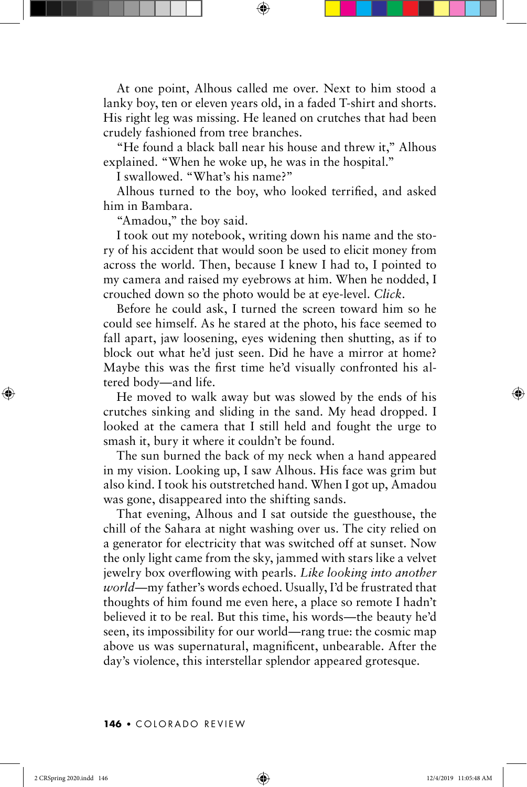At one point, Alhous called me over. Next to him stood a lanky boy, ten or eleven years old, in a faded T-shirt and shorts. His right leg was missing. He leaned on crutches that had been crudely fashioned from tree branches.

⊕

"He found a black ball near his house and threw it," Alhous explained. "When he woke up, he was in the hospital."

I swallowed. "What's his name?"

Alhous turned to the boy, who looked terrified, and asked him in Bambara.

"Amadou," the boy said.

I took out my notebook, writing down his name and the story of his accident that would soon be used to elicit money from across the world. Then, because I knew I had to, I pointed to my camera and raised my eyebrows at him. When he nodded, I crouched down so the photo would be at eye-level. *Click.* 

Before he could ask, I turned the screen toward him so he could see himself. As he stared at the photo, his face seemed to fall apart, jaw loosening, eyes widening then shutting, as if to block out what he'd just seen. Did he have a mirror at home? Maybe this was the first time he'd visually confronted his altered body—and life.

He moved to walk away but was slowed by the ends of his crutches sinking and sliding in the sand. My head dropped. I looked at the camera that I still held and fought the urge to smash it, bury it where it couldn't be found.

The sun burned the back of my neck when a hand appeared in my vision. Looking up, I saw Alhous. His face was grim but also kind. I took his outstretched hand. When I got up, Amadou was gone, disappeared into the shifting sands.

That evening, Alhous and I sat outside the guesthouse, the chill of the Sahara at night washing over us. The city relied on a generator for electricity that was switched off at sunset. Now the only light came from the sky, jammed with stars like a velvet jewelry box overflowing with pearls. *Like looking into another world*—my father's words echoed. Usually, I'd be frustrated that thoughts of him found me even here, a place so remote I hadn't believed it to be real. But this time, his words—the beauty he'd seen, its impossibility for our world—rang true: the cosmic map above us was supernatural, magnificent, unbearable. After the day's violence, this interstellar splendor appeared grotesque.

## **146** •COLORADO REVIEW

⊕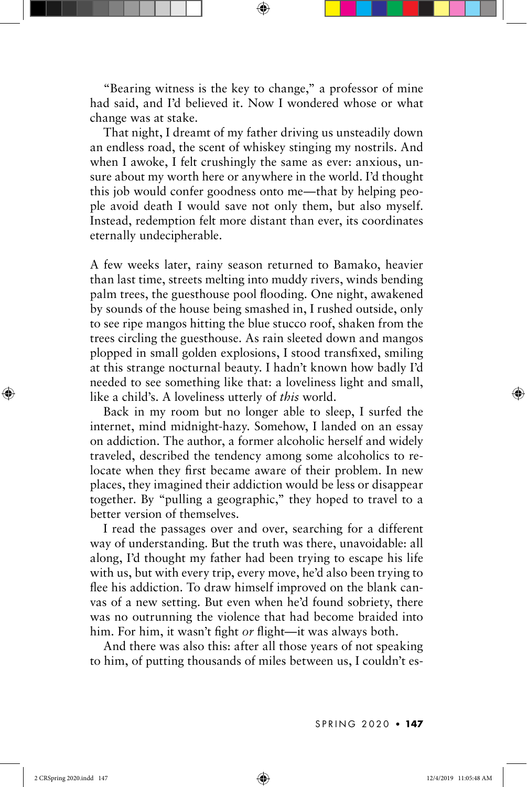"Bearing witness is the key to change," a professor of mine had said, and I'd believed it. Now I wondered whose or what change was at stake.

⊕

That night, I dreamt of my father driving us unsteadily down an endless road, the scent of whiskey stinging my nostrils. And when I awoke, I felt crushingly the same as ever: anxious, unsure about my worth here or anywhere in the world. I'd thought this job would confer goodness onto me—that by helping people avoid death I would save not only them, but also myself. Instead, redemption felt more distant than ever, its coordinates eternally undecipherable.

A few weeks later, rainy season returned to Bamako, heavier than last time, streets melting into muddy rivers, winds bending palm trees, the guesthouse pool flooding. One night, awakened by sounds of the house being smashed in, I rushed outside, only to see ripe mangos hitting the blue stucco roof, shaken from the trees circling the guesthouse. As rain sleeted down and mangos plopped in small golden explosions, I stood transfixed, smiling at this strange nocturnal beauty. I hadn't known how badly I'd needed to see something like that: a loveliness light and small, like a child's. A loveliness utterly of *this* world.

Back in my room but no longer able to sleep, I surfed the internet, mind midnight-hazy. Somehow, I landed on an essay on addiction. The author, a former alcoholic herself and widely traveled, described the tendency among some alcoholics to relocate when they first became aware of their problem. In new places, they imagined their addiction would be less or disappear together. By "pulling a geographic," they hoped to travel to a better version of themselves.

I read the passages over and over, searching for a different way of understanding. But the truth was there, unavoidable: all along, I'd thought my father had been trying to escape his life with us, but with every trip, every move, he'd also been trying to flee his addiction. To draw himself improved on the blank canvas of a new setting. But even when he'd found sobriety, there was no outrunning the violence that had become braided into him. For him, it wasn't fight *or* flight—it was always both.

And there was also this: after all those years of not speaking to him, of putting thousands of miles between us, I couldn't es-

SPRING 2020• **147**

⊕